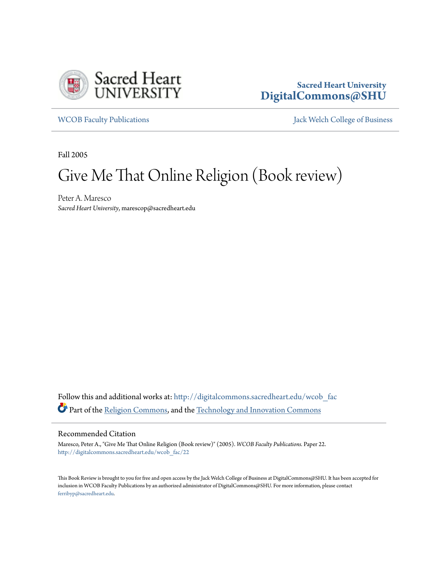

## **Sacred Heart University [DigitalCommons@SHU](http://digitalcommons.sacredheart.edu?utm_source=digitalcommons.sacredheart.edu%2Fwcob_fac%2F22&utm_medium=PDF&utm_campaign=PDFCoverPages)**

[WCOB Faculty Publications](http://digitalcommons.sacredheart.edu/wcob_fac?utm_source=digitalcommons.sacredheart.edu%2Fwcob_fac%2F22&utm_medium=PDF&utm_campaign=PDFCoverPages) **MECOB** Faculty Publications **Accord Publications** [Jack Welch College of Business](http://digitalcommons.sacredheart.edu/wcob?utm_source=digitalcommons.sacredheart.edu%2Fwcob_fac%2F22&utm_medium=PDF&utm_campaign=PDFCoverPages)

Fall 2005

## Give Me That Online Religion (Book review)

Peter A. Maresco *Sacred Heart University*, marescop@sacredheart.edu

Follow this and additional works at: [http://digitalcommons.sacredheart.edu/wcob\\_fac](http://digitalcommons.sacredheart.edu/wcob_fac?utm_source=digitalcommons.sacredheart.edu%2Fwcob_fac%2F22&utm_medium=PDF&utm_campaign=PDFCoverPages) Part of the [Religion Commons](http://network.bepress.com/hgg/discipline/538?utm_source=digitalcommons.sacredheart.edu%2Fwcob_fac%2F22&utm_medium=PDF&utm_campaign=PDFCoverPages), and the [Technology and Innovation Commons](http://network.bepress.com/hgg/discipline/644?utm_source=digitalcommons.sacredheart.edu%2Fwcob_fac%2F22&utm_medium=PDF&utm_campaign=PDFCoverPages)

## Recommended Citation

Maresco, Peter A., "Give Me That Online Religion (Book review)" (2005). *WCOB Faculty Publications.* Paper 22. [http://digitalcommons.sacredheart.edu/wcob\\_fac/22](http://digitalcommons.sacredheart.edu/wcob_fac/22?utm_source=digitalcommons.sacredheart.edu%2Fwcob_fac%2F22&utm_medium=PDF&utm_campaign=PDFCoverPages)

This Book Review is brought to you for free and open access by the Jack Welch College of Business at DigitalCommons@SHU. It has been accepted for inclusion in WCOB Faculty Publications by an authorized administrator of DigitalCommons@SHU. For more information, please contact [ferribyp@sacredheart.edu](mailto:ferribyp@sacredheart.edu).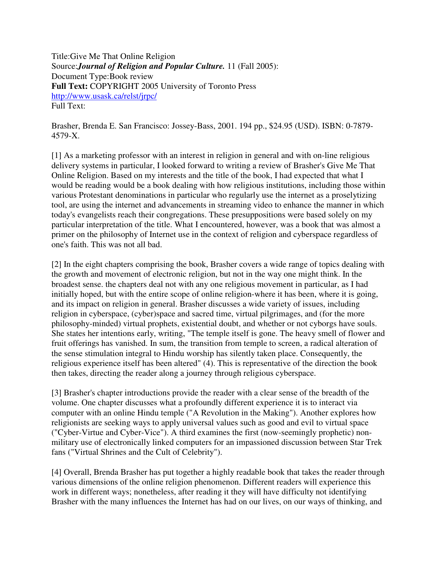Title:Give Me That Online Religion Source:*Journal of Religion and Popular Culture.* 11 (Fall 2005): Document Type:Book review **Full Text:** COPYRIGHT 2005 University of Toronto Press http://www.usask.ca/relst/jrpc/ Full Text:

Brasher, Brenda E. San Francisco: Jossey-Bass, 2001. 194 pp., \$24.95 (USD). ISBN: 0-7879- 4579-X.

[1] As a marketing professor with an interest in religion in general and with on-line religious delivery systems in particular, I looked forward to writing a review of Brasher's Give Me That Online Religion. Based on my interests and the title of the book, I had expected that what I would be reading would be a book dealing with how religious institutions, including those within various Protestant denominations in particular who regularly use the internet as a proselytizing tool, are using the internet and advancements in streaming video to enhance the manner in which today's evangelists reach their congregations. These presuppositions were based solely on my particular interpretation of the title. What I encountered, however, was a book that was almost a primer on the philosophy of Internet use in the context of religion and cyberspace regardless of one's faith. This was not all bad.

[2] In the eight chapters comprising the book, Brasher covers a wide range of topics dealing with the growth and movement of electronic religion, but not in the way one might think. In the broadest sense. the chapters deal not with any one religious movement in particular, as I had initially hoped, but with the entire scope of online religion-where it has been, where it is going, and its impact on religion in general. Brasher discusses a wide variety of issues, including religion in cyberspace, (cyber)space and sacred time, virtual pilgrimages, and (for the more philosophy-minded) virtual prophets, existential doubt, and whether or not cyborgs have souls. She states her intentions early, writing, "The temple itself is gone. The heavy smell of flower and fruit offerings has vanished. In sum, the transition from temple to screen, a radical alteration of the sense stimulation integral to Hindu worship has silently taken place. Consequently, the religious experience itself has been altered" (4). This is representative of the direction the book then takes, directing the reader along a journey through religious cyberspace.

[3] Brasher's chapter introductions provide the reader with a clear sense of the breadth of the volume. One chapter discusses what a profoundly different experience it is to interact via computer with an online Hindu temple ("A Revolution in the Making"). Another explores how religionists are seeking ways to apply universal values such as good and evil to virtual space ("Cyber-Virtue and Cyber-Vice"). A third examines the first (now-seemingly prophetic) nonmilitary use of electronically linked computers for an impassioned discussion between Star Trek fans ("Virtual Shrines and the Cult of Celebrity").

[4] Overall, Brenda Brasher has put together a highly readable book that takes the reader through various dimensions of the online religion phenomenon. Different readers will experience this work in different ways; nonetheless, after reading it they will have difficulty not identifying Brasher with the many influences the Internet has had on our lives, on our ways of thinking, and